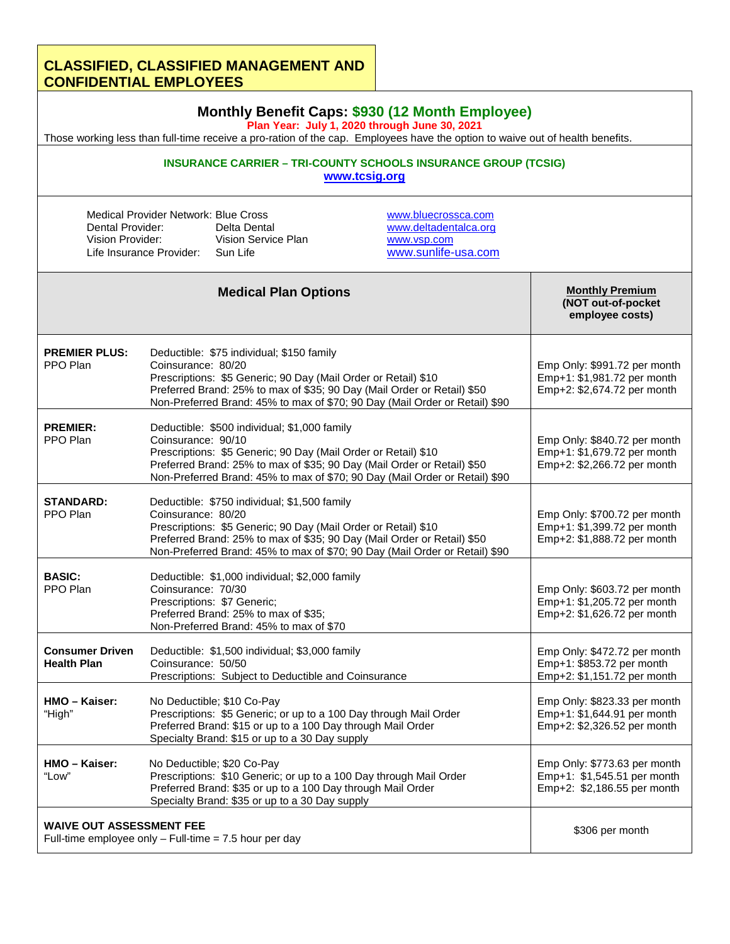## **CLASSIFIED, CLASSIFIED MANAGEMENT AND CONFIDENTIAL EMPLOYEES**

| Monthly Benefit Caps: \$930 (12 Month Employee)<br>Plan Year: July 1, 2020 through June 30, 2021<br>Those working less than full-time receive a pro-ration of the cap. Employees have the option to waive out of health benefits.<br><b>INSURANCE CARRIER - TRI-COUNTY SCHOOLS INSURANCE GROUP (TCSIG)</b><br>www.tcsig.org |                                                                                                                                                                                                                                                                                                |                                                                                                                                                                                                                   |                                                                                            |                                                                                            |  |
|-----------------------------------------------------------------------------------------------------------------------------------------------------------------------------------------------------------------------------------------------------------------------------------------------------------------------------|------------------------------------------------------------------------------------------------------------------------------------------------------------------------------------------------------------------------------------------------------------------------------------------------|-------------------------------------------------------------------------------------------------------------------------------------------------------------------------------------------------------------------|--------------------------------------------------------------------------------------------|--------------------------------------------------------------------------------------------|--|
|                                                                                                                                                                                                                                                                                                                             |                                                                                                                                                                                                                                                                                                |                                                                                                                                                                                                                   |                                                                                            |                                                                                            |  |
|                                                                                                                                                                                                                                                                                                                             |                                                                                                                                                                                                                                                                                                | <b>Medical Plan Options</b>                                                                                                                                                                                       |                                                                                            | <b>Monthly Premium</b><br>(NOT out-of-pocket<br>employee costs)                            |  |
| <b>PREMIER PLUS:</b><br>PPO Plan                                                                                                                                                                                                                                                                                            | Deductible: \$75 individual; \$150 family<br>Coinsurance: 80/20<br>Prescriptions: \$5 Generic; 90 Day (Mail Order or Retail) \$10<br>Preferred Brand: 25% to max of \$35; 90 Day (Mail Order or Retail) \$50<br>Non-Preferred Brand: 45% to max of \$70; 90 Day (Mail Order or Retail) \$90    |                                                                                                                                                                                                                   |                                                                                            | Emp Only: \$991.72 per month<br>Emp+1: \$1,981.72 per month<br>Emp+2: \$2,674.72 per month |  |
| <b>PREMIER:</b><br>PPO Plan                                                                                                                                                                                                                                                                                                 | Deductible: \$500 individual; \$1,000 family<br>Coinsurance: 90/10<br>Prescriptions: \$5 Generic; 90 Day (Mail Order or Retail) \$10<br>Preferred Brand: 25% to max of \$35; 90 Day (Mail Order or Retail) \$50<br>Non-Preferred Brand: 45% to max of \$70; 90 Day (Mail Order or Retail) \$90 |                                                                                                                                                                                                                   |                                                                                            | Emp Only: \$840.72 per month<br>Emp+1: \$1,679.72 per month<br>Emp+2: \$2,266.72 per month |  |
| <b>STANDARD:</b><br>PPO Plan                                                                                                                                                                                                                                                                                                | Deductible: \$750 individual; \$1,500 family<br>Coinsurance: 80/20<br>Prescriptions: \$5 Generic; 90 Day (Mail Order or Retail) \$10<br>Preferred Brand: 25% to max of \$35; 90 Day (Mail Order or Retail) \$50<br>Non-Preferred Brand: 45% to max of \$70; 90 Day (Mail Order or Retail) \$90 |                                                                                                                                                                                                                   | Emp Only: \$700.72 per month<br>Emp+1: \$1,399.72 per month<br>Emp+2: \$1,888.72 per month |                                                                                            |  |
| <b>BASIC:</b><br>PPO Plan                                                                                                                                                                                                                                                                                                   | Coinsurance: 70/30                                                                                                                                                                                                                                                                             | Deductible: \$1,000 individual; \$2,000 family<br>Prescriptions: \$7 Generic;<br>Preferred Brand: 25% to max of \$35;<br>Non-Preferred Brand: 45% to max of \$70                                                  |                                                                                            | Emp Only: \$603.72 per month<br>Emp+1: \$1,205.72 per month<br>Emp+2: \$1,626.72 per month |  |
| <b>Consumer Driven</b><br><b>Health Plan</b>                                                                                                                                                                                                                                                                                | Coinsurance: 50/50                                                                                                                                                                                                                                                                             | Deductible: \$1,500 individual; \$3,000 family<br>Prescriptions: Subject to Deductible and Coinsurance                                                                                                            |                                                                                            | Emp Only: \$472.72 per month<br>Emp+1: \$853.72 per month<br>Emp+2: \$1,151.72 per month   |  |
| HMO - Kaiser:<br>"High"                                                                                                                                                                                                                                                                                                     | No Deductible; \$10 Co-Pay<br>Prescriptions: \$5 Generic; or up to a 100 Day through Mail Order<br>Preferred Brand: \$15 or up to a 100 Day through Mail Order<br>Specialty Brand: \$15 or up to a 30 Day supply                                                                               |                                                                                                                                                                                                                   |                                                                                            | Emp Only: \$823.33 per month<br>Emp+1: \$1,644.91 per month<br>Emp+2: \$2,326.52 per month |  |
| HMO - Kaiser:<br>"Low"                                                                                                                                                                                                                                                                                                      |                                                                                                                                                                                                                                                                                                | No Deductible; \$20 Co-Pay<br>Prescriptions: \$10 Generic; or up to a 100 Day through Mail Order<br>Preferred Brand: \$35 or up to a 100 Day through Mail Order<br>Specialty Brand: \$35 or up to a 30 Day supply |                                                                                            | Emp Only: \$773.63 per month<br>Emp+1: \$1,545.51 per month<br>Emp+2: \$2,186.55 per month |  |
| <b>WAIVE OUT ASSESSMENT FEE</b><br>Full-time employee only $-$ Full-time = 7.5 hour per day                                                                                                                                                                                                                                 |                                                                                                                                                                                                                                                                                                |                                                                                                                                                                                                                   |                                                                                            | \$306 per month                                                                            |  |